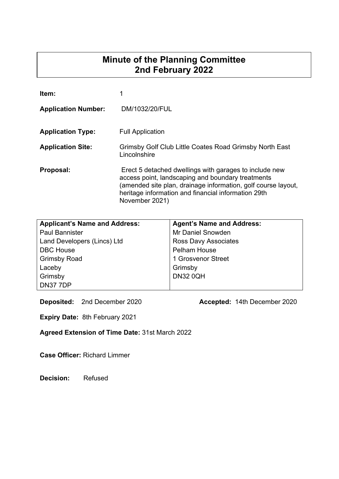| Item:                      |                                                                                                                                                                                                                                                       |
|----------------------------|-------------------------------------------------------------------------------------------------------------------------------------------------------------------------------------------------------------------------------------------------------|
| <b>Application Number:</b> | DM/1032/20/FUL                                                                                                                                                                                                                                        |
| <b>Application Type:</b>   | <b>Full Application</b>                                                                                                                                                                                                                               |
| <b>Application Site:</b>   | Grimsby Golf Club Little Coates Road Grimsby North East<br>Lincolnshire                                                                                                                                                                               |
| Proposal:                  | Erect 5 detached dwellings with garages to include new<br>access point, landscaping and boundary treatments<br>(amended site plan, drainage information, golf course layout,<br>heritage information and financial information 29th<br>November 2021) |

| <b>Applicant's Name and Address:</b> | <b>Agent's Name and Address:</b> |
|--------------------------------------|----------------------------------|
| <b>Paul Bannister</b>                | Mr Daniel Snowden                |
| Land Developers (Lincs) Ltd          | <b>Ross Davy Associates</b>      |
| <b>DBC House</b>                     | <b>Pelham House</b>              |
| <b>Grimsby Road</b>                  | 1 Grosvenor Street               |
| Laceby                               | Grimsby                          |
| Grimsby                              | <b>DN32 0QH</b>                  |
| <b>DN37 7DP</b>                      |                                  |

**Deposited:** 2nd December 2020 **Accepted:** 14th December 2020

**Expiry Date:** 8th February 2021

**Agreed Extension of Time Date:** 31st March 2022

**Case Officer:** Richard Limmer

**Decision:** Refused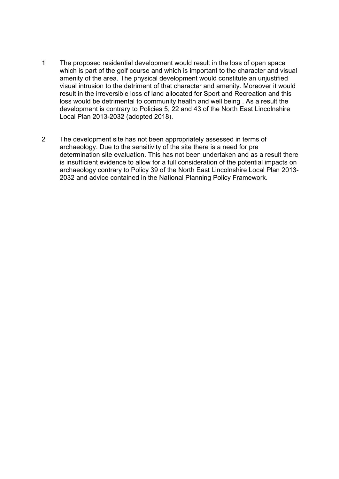- 1 The proposed residential development would result in the loss of open space which is part of the golf course and which is important to the character and visual amenity of the area. The physical development would constitute an unjustified visual intrusion to the detriment of that character and amenity. Moreover it would result in the irreversible loss of land allocated for Sport and Recreation and this loss would be detrimental to community health and well being . As a result the development is contrary to Policies 5, 22 and 43 of the North East Lincolnshire Local Plan 2013-2032 (adopted 2018).
- 2 The development site has not been appropriately assessed in terms of archaeology. Due to the sensitivity of the site there is a need for pre determination site evaluation. This has not been undertaken and as a result there is insufficient evidence to allow for a full consideration of the potential impacts on archaeology contrary to Policy 39 of the North East Lincolnshire Local Plan 2013- 2032 and advice contained in the National Planning Policy Framework.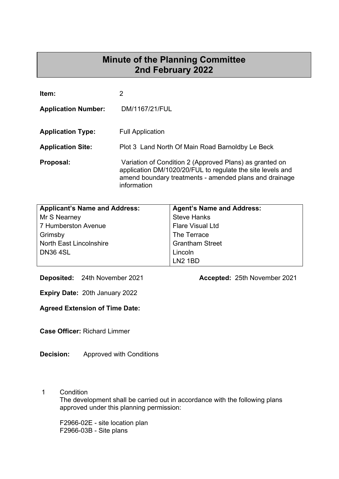| Item:                      | 2                                                                                                                                                                                              |
|----------------------------|------------------------------------------------------------------------------------------------------------------------------------------------------------------------------------------------|
| <b>Application Number:</b> | DM/1167/21/FUL                                                                                                                                                                                 |
| <b>Application Type:</b>   | <b>Full Application</b>                                                                                                                                                                        |
| <b>Application Site:</b>   | Plot 3 Land North Of Main Road Barnoldby Le Beck                                                                                                                                               |
| Proposal:                  | Variation of Condition 2 (Approved Plans) as granted on<br>application DM/1020/20/FUL to regulate the site levels and<br>amend boundary treatments - amended plans and drainage<br>information |

| <b>Applicant's Name and Address:</b> | <b>Agent's Name and Address:</b> |
|--------------------------------------|----------------------------------|
| Mr S Nearney                         | <b>Steve Hanks</b>               |
| 7 Humberston Avenue                  | <b>Flare Visual Ltd</b>          |
| Grimsby                              | The Terrace                      |
| <b>North East Lincolnshire</b>       | <b>Grantham Street</b>           |
| <b>DN36 4SL</b>                      | Lincoln                          |
|                                      | <b>LN2 1BD</b>                   |

**Deposited:** 24th November 2021 **Accepted:** 25th November 2021

**Expiry Date:** 20th January 2022

**Agreed Extension of Time Date:** 

**Case Officer:** Richard Limmer

**Decision:** Approved with Conditions

1 Condition

 The development shall be carried out in accordance with the following plans approved under this planning permission:

 F2966-02E - site location plan F2966-03B - Site plans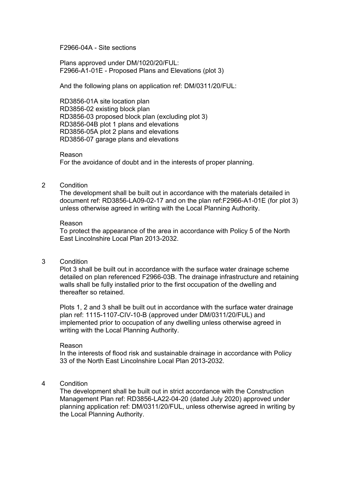F2966-04A - Site sections

 Plans approved under DM/1020/20/FUL: F2966-A1-01E - Proposed Plans and Elevations (plot 3)

And the following plans on application ref: DM/0311/20/FUL:

 RD3856-01A site location plan RD3856-02 existing block plan RD3856-03 proposed block plan (excluding plot 3) RD3856-04B plot 1 plans and elevations RD3856-05A plot 2 plans and elevations RD3856-07 garage plans and elevations

Reason

For the avoidance of doubt and in the interests of proper planning.

#### 2 Condition

 The development shall be built out in accordance with the materials detailed in document ref: RD3856-LA09-02-17 and on the plan ref:F2966-A1-01E (for plot 3) unless otherwise agreed in writing with the Local Planning Authority.

#### Reason

 To protect the appearance of the area in accordance with Policy 5 of the North East Lincolnshire Local Plan 2013-2032.

# 3 Condition

 Plot 3 shall be built out in accordance with the surface water drainage scheme detailed on plan referenced F2966-03B. The drainage infrastructure and retaining walls shall be fully installed prior to the first occupation of the dwelling and thereafter so retained.

 Plots 1, 2 and 3 shall be built out in accordance with the surface water drainage plan ref: 1115-1107-CIV-10-B (approved under DM/0311/20/FUL) and implemented prior to occupation of any dwelling unless otherwise agreed in writing with the Local Planning Authority.

#### Reason

 In the interests of flood risk and sustainable drainage in accordance with Policy 33 of the North East Lincolnshire Local Plan 2013-2032.

# 4 Condition

 The development shall be built out in strict accordance with the Construction Management Plan ref: RD3856-LA22-04-20 (dated July 2020) approved under planning application ref: DM/0311/20/FUL, unless otherwise agreed in writing by the Local Planning Authority.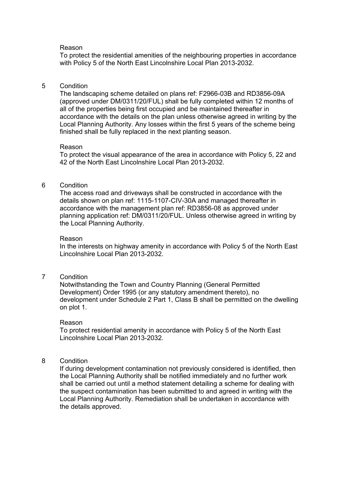#### Reason

 To protect the residential amenities of the neighbouring properties in accordance with Policy 5 of the North East Lincolnshire Local Plan 2013-2032.

#### 5 Condition

 The landscaping scheme detailed on plans ref: F2966-03B and RD3856-09A (approved under DM/0311/20/FUL) shall be fully completed within 12 months of all of the properties being first occupied and be maintained thereafter in accordance with the details on the plan unless otherwise agreed in writing by the Local Planning Authority. Any losses within the first 5 years of the scheme being finished shall be fully replaced in the next planting season.

#### Reason

 To protect the visual appearance of the area in accordance with Policy 5, 22 and 42 of the North East Lincolnshire Local Plan 2013-2032.

# 6 Condition

 The access road and driveways shall be constructed in accordance with the details shown on plan ref: 1115-1107-CIV-30A and managed thereafter in accordance with the management plan ref: RD3856-08 as approved under planning application ref: DM/0311/20/FUL. Unless otherwise agreed in writing by the Local Planning Authority.

#### Reason

 In the interests on highway amenity in accordance with Policy 5 of the North East Lincolnshire Local Plan 2013-2032.

7 Condition

 Notwithstanding the Town and Country Planning (General Permitted Development) Order 1995 (or any statutory amendment thereto), no development under Schedule 2 Part 1, Class B shall be permitted on the dwelling on plot 1.

#### Reason

 To protect residential amenity in accordance with Policy 5 of the North East Lincolnshire Local Plan 2013-2032.

# 8 Condition

 If during development contamination not previously considered is identified, then the Local Planning Authority shall be notified immediately and no further work shall be carried out until a method statement detailing a scheme for dealing with the suspect contamination has been submitted to and agreed in writing with the Local Planning Authority. Remediation shall be undertaken in accordance with the details approved.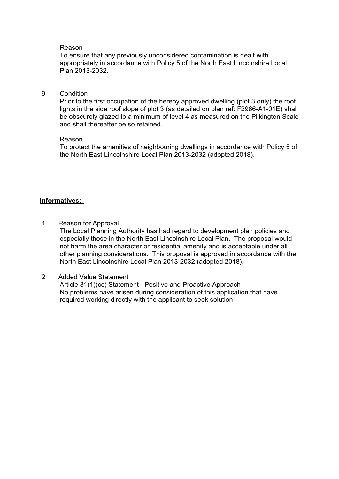#### Reason

 To ensure that any previously unconsidered contamination is dealt with appropriately in accordance with Policy 5 of the North East Lincolnshire Local Plan 2013-2032.

#### 9 Condition

 Prior to the first occupation of the hereby approved dwelling (plot 3 only) the roof lights in the side roof slope of plot 3 (as detailed on plan ref: F2966-A1-01E) shall be obscurely glazed to a minimum of level 4 as measured on the Pilkington Scale and shall thereafter be so retained.

#### Reason

 To protect the amenities of neighbouring dwellings in accordance with Policy 5 of the North East Lincolnshire Local Plan 2013-2032 (adopted 2018).

# **Informatives:-**

1 Reason for Approval

The Local Planning Authority has had regard to development plan policies and especially those in the North East Lincolnshire Local Plan. The proposal would not harm the area character or residential amenity and is acceptable under all other planning considerations. This proposal is approved in accordance with the North East Lincolnshire Local Plan 2013-2032 (adopted 2018).

# 2 Added Value Statement Article 31(1)(cc) Statement - Positive and Proactive Approach No problems have arisen during consideration of this application that have required working directly with the applicant to seek solution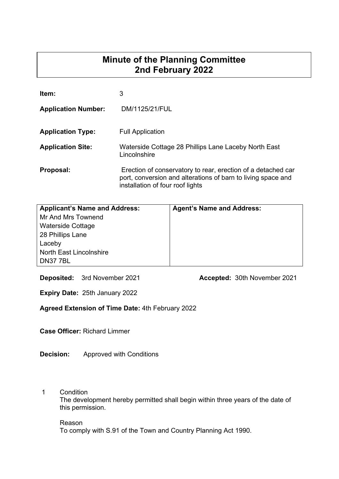| Item:                      | 3                                                                                                                                                                |
|----------------------------|------------------------------------------------------------------------------------------------------------------------------------------------------------------|
| <b>Application Number:</b> | DM/1125/21/FUL                                                                                                                                                   |
| <b>Application Type:</b>   | <b>Full Application</b>                                                                                                                                          |
| <b>Application Site:</b>   | Waterside Cottage 28 Phillips Lane Laceby North East<br>Lincolnshire                                                                                             |
| Proposal:                  | Erection of conservatory to rear, erection of a detached car<br>port, conversion and alterations of barn to living space and<br>installation of four roof lights |

| <b>Applicant's Name and Address:</b> | <b>Agent's Name and Address:</b> |
|--------------------------------------|----------------------------------|
| Mr And Mrs Townend                   |                                  |
| <b>Waterside Cottage</b>             |                                  |
| 28 Phillips Lane                     |                                  |
| Laceby                               |                                  |
| <b>North East Lincolnshire</b>       |                                  |
| <b>DN377BL</b>                       |                                  |

**Deposited:** 3rd November 2021 **Accepted:** 30th November 2021

**Expiry Date:** 25th January 2022

**Agreed Extension of Time Date:** 4th February 2022

**Case Officer:** Richard Limmer

**Decision:** Approved with Conditions

1 Condition

 The development hereby permitted shall begin within three years of the date of this permission.

# Reason

To comply with S.91 of the Town and Country Planning Act 1990.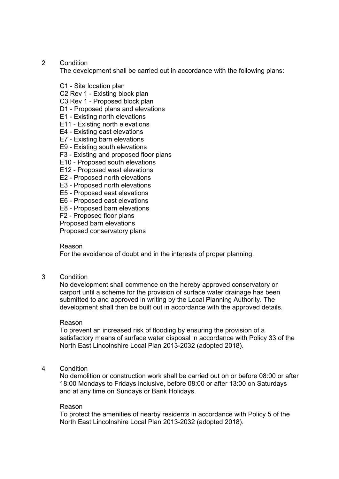The development shall be carried out in accordance with the following plans:

- C1 Site location plan
- C2 Rev 1 Existing block plan
- C3 Rev 1 Proposed block plan
- D1 Proposed plans and elevations
- E1 Existing north elevations
- E11 Existing north elevations
- E4 Existing east elevations
- E7 Existing barn elevations
- E9 Existing south elevations
- F3 Existing and proposed floor plans
- E10 Proposed south elevations
- E12 Proposed west elevations
- E2 Proposed north elevations
- E3 Proposed north elevations
- E5 Proposed east elevations
- E6 Proposed east elevations
- E8 Proposed barn elevations
- F2 Proposed floor plans

Proposed barn elevations

Proposed conservatory plans

# Reason

For the avoidance of doubt and in the interests of proper planning.

3 Condition

 No development shall commence on the hereby approved conservatory or carport until a scheme for the provision of surface water drainage has been submitted to and approved in writing by the Local Planning Authority. The development shall then be built out in accordance with the approved details.

#### Reason

 To prevent an increased risk of flooding by ensuring the provision of a satisfactory means of surface water disposal in accordance with Policy 33 of the North East Lincolnshire Local Plan 2013-2032 (adopted 2018).

4 Condition

 No demolition or construction work shall be carried out on or before 08:00 or after 18:00 Mondays to Fridays inclusive, before 08:00 or after 13:00 on Saturdays and at any time on Sundays or Bank Holidays.

# Reason

 To protect the amenities of nearby residents in accordance with Policy 5 of the North East Lincolnshire Local Plan 2013-2032 (adopted 2018).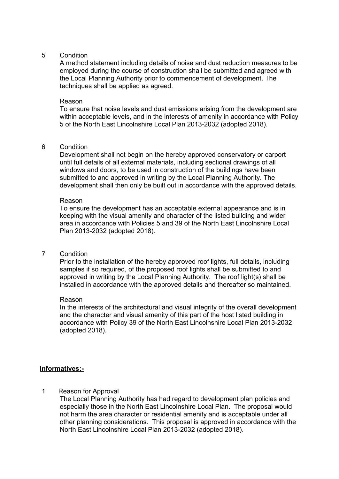A method statement including details of noise and dust reduction measures to be employed during the course of construction shall be submitted and agreed with the Local Planning Authority prior to commencement of development. The techniques shall be applied as agreed.

#### Reason

 To ensure that noise levels and dust emissions arising from the development are within acceptable levels, and in the interests of amenity in accordance with Policy 5 of the North East Lincolnshire Local Plan 2013-2032 (adopted 2018).

# 6 Condition

 Development shall not begin on the hereby approved conservatory or carport until full details of all external materials, including sectional drawings of all windows and doors, to be used in construction of the buildings have been submitted to and approved in writing by the Local Planning Authority. The development shall then only be built out in accordance with the approved details.

#### Reason

 To ensure the development has an acceptable external appearance and is in keeping with the visual amenity and character of the listed building and wider area in accordance with Policies 5 and 39 of the North East Lincolnshire Local Plan 2013-2032 (adopted 2018).

# 7 Condition

 Prior to the installation of the hereby approved roof lights, full details, including samples if so required, of the proposed roof lights shall be submitted to and approved in writing by the Local Planning Authority. The roof light(s) shall be installed in accordance with the approved details and thereafter so maintained.

# Reason

 In the interests of the architectural and visual integrity of the overall development and the character and visual amenity of this part of the host listed building in accordance with Policy 39 of the North East Lincolnshire Local Plan 2013-2032 (adopted 2018).

# **Informatives:-**

1 Reason for Approval

The Local Planning Authority has had regard to development plan policies and especially those in the North East Lincolnshire Local Plan. The proposal would not harm the area character or residential amenity and is acceptable under all other planning considerations. This proposal is approved in accordance with the North East Lincolnshire Local Plan 2013-2032 (adopted 2018).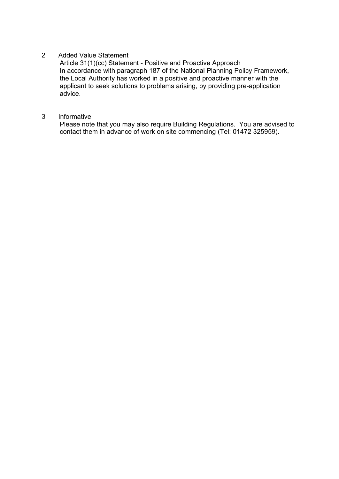# 2 Added Value Statement

Article 31(1)(cc) Statement - Positive and Proactive Approach In accordance with paragraph 187 of the National Planning Policy Framework, the Local Authority has worked in a positive and proactive manner with the applicant to seek solutions to problems arising, by providing pre-application advice.

# 3 Informative

 Please note that you may also require Building Regulations. You are advised to contact them in advance of work on site commencing (Tel: 01472 325959).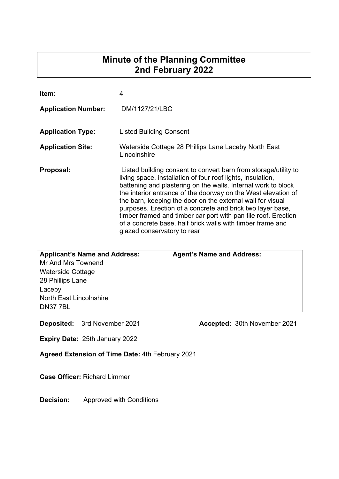| Item:                      | 4                                                                                                                                                                                                                                                                                                                                                                                                                                                                                                                                                           |
|----------------------------|-------------------------------------------------------------------------------------------------------------------------------------------------------------------------------------------------------------------------------------------------------------------------------------------------------------------------------------------------------------------------------------------------------------------------------------------------------------------------------------------------------------------------------------------------------------|
| <b>Application Number:</b> | DM/1127/21/LBC                                                                                                                                                                                                                                                                                                                                                                                                                                                                                                                                              |
| <b>Application Type:</b>   | <b>Listed Building Consent</b>                                                                                                                                                                                                                                                                                                                                                                                                                                                                                                                              |
| <b>Application Site:</b>   | Waterside Cottage 28 Phillips Lane Laceby North East<br>Lincolnshire                                                                                                                                                                                                                                                                                                                                                                                                                                                                                        |
| Proposal:                  | Listed building consent to convert barn from storage/utility to<br>living space, installation of four roof lights, insulation,<br>battening and plastering on the walls. Internal work to block<br>the interior entrance of the doorway on the West elevation of<br>the barn, keeping the door on the external wall for visual<br>purposes. Erection of a concrete and brick two layer base,<br>timber framed and timber car port with pan tile roof. Erection<br>of a concrete base, half brick walls with timber frame and<br>glazed conservatory to rear |

| <b>Applicant's Name and Address:</b> | <b>Agent's Name and Address:</b> |
|--------------------------------------|----------------------------------|
| Mr And Mrs Townend                   |                                  |
| <b>Waterside Cottage</b>             |                                  |
| 28 Phillips Lane                     |                                  |
| Laceby                               |                                  |
| <b>North East Lincolnshire</b>       |                                  |
| <b>DN377BL</b>                       |                                  |

**Deposited:** 3rd November 2021 **Accepted:** 30th November 2021

**Expiry Date:** 25th January 2022

**Agreed Extension of Time Date:** 4th February 2021

**Case Officer:** Richard Limmer

**Decision:** Approved with Conditions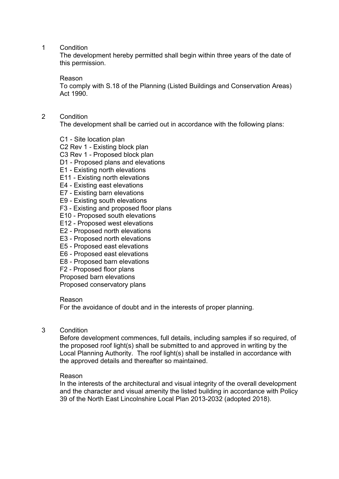The development hereby permitted shall begin within three years of the date of this permission.

#### Reason

 To comply with S.18 of the Planning (Listed Buildings and Conservation Areas) Act 1990.

## 2 Condition

The development shall be carried out in accordance with the following plans:

- C1 Site location plan
- C2 Rev 1 Existing block plan
- C3 Rev 1 Proposed block plan
- D1 Proposed plans and elevations
- E1 Existing north elevations
- E11 Existing north elevations
- E4 Existing east elevations
- E7 Existing barn elevations
- E9 Existing south elevations
- F3 Existing and proposed floor plans
- E10 Proposed south elevations
- E12 Proposed west elevations
- E2 Proposed north elevations
- E3 Proposed north elevations
- E5 Proposed east elevations
- E6 Proposed east elevations
- E8 Proposed barn elevations
- F2 Proposed floor plans

 Proposed barn elevations Proposed conservatory plans

# Reason

For the avoidance of doubt and in the interests of proper planning.

# 3 Condition

 Before development commences, full details, including samples if so required, of the proposed roof light(s) shall be submitted to and approved in writing by the Local Planning Authority. The roof light(s) shall be installed in accordance with the approved details and thereafter so maintained.

# Reason

 In the interests of the architectural and visual integrity of the overall development and the character and visual amenity the listed building in accordance with Policy 39 of the North East Lincolnshire Local Plan 2013-2032 (adopted 2018).